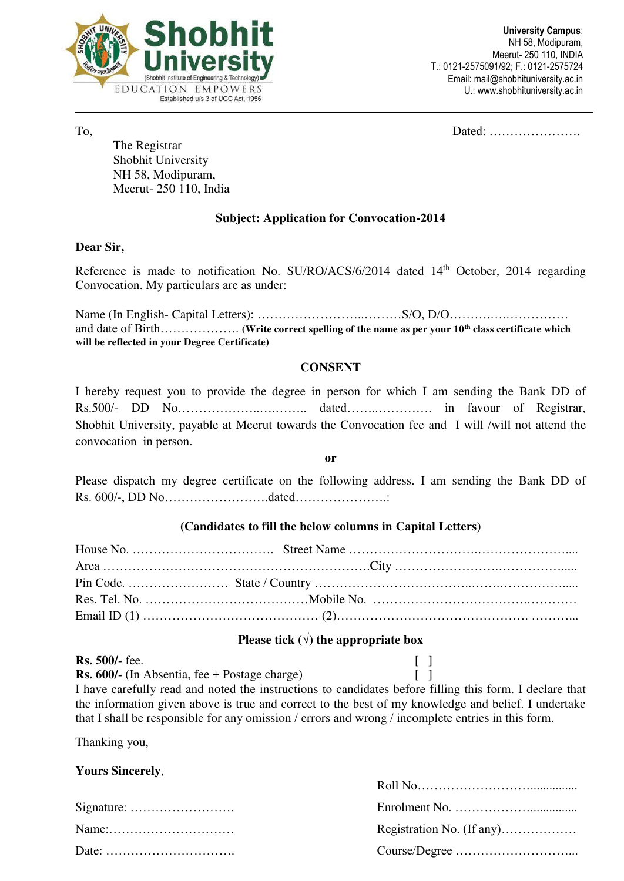

To, Dated: ………………….

 The Registrar Shobhit University NH 58, Modipuram, Meerut- 250 110, India

## **Subject: Application for Convocation-2014**

#### **Dear Sir,**

Reference is made to notification No. SU/RO/ACS/6/2014 dated 14<sup>th</sup> October, 2014 regarding Convocation. My particulars are as under:

Name (In English- Capital Letters): ……………………..………S/O, D/O……….….…………… and date of Birth………………. **(Write correct spelling of the name as per your 10th class certificate which will be reflected in your Degree Certificate)** 

### **CONSENT**

I hereby request you to provide the degree in person for which I am sending the Bank DD of Rs.500/- DD No………………..….…….. dated……..…………. in favour of Registrar, Shobhit University, payable at Meerut towards the Convocation fee and I will /will not attend the convocation in person.

**or** 

Please dispatch my degree certificate on the following address. I am sending the Bank DD of Rs. 600/-, DD No…………………….dated………………….:

### **(Candidates to fill the below columns in Capital Letters)**

### **Please tick**  $(\sqrt{})$  the appropriate box

| <b>Rs. 500/-</b> fee.                                                                                   |  |
|---------------------------------------------------------------------------------------------------------|--|
| <b>Rs. 600/-</b> (In Absentia, fee + Postage charge)                                                    |  |
| I have carefully read and noted the instructions to candidates before filling this form. I declare that |  |
| the information given above is true and correct to the best of my knowledge and belief. I undertake     |  |
| that I shall be responsible for any omission / errors and wrong / incomplete entries in this form.      |  |

Thanking you,

#### **Yours Sincerely**,

| $Name: \ldots \ldots \ldots \ldots \ldots \ldots \ldots \ldots$ | Registration No. (If any) |
|-----------------------------------------------------------------|---------------------------|
|                                                                 |                           |